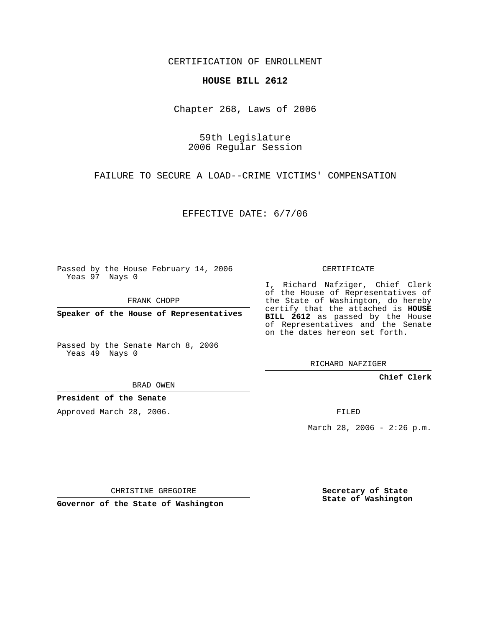CERTIFICATION OF ENROLLMENT

## **HOUSE BILL 2612**

Chapter 268, Laws of 2006

59th Legislature 2006 Regular Session

FAILURE TO SECURE A LOAD--CRIME VICTIMS' COMPENSATION

EFFECTIVE DATE: 6/7/06

Passed by the House February 14, 2006 Yeas 97 Nays 0

FRANK CHOPP

**Speaker of the House of Representatives**

Passed by the Senate March 8, 2006 Yeas 49 Nays 0

CERTIFICATE

I, Richard Nafziger, Chief Clerk of the House of Representatives of the State of Washington, do hereby certify that the attached is **HOUSE BILL 2612** as passed by the House of Representatives and the Senate on the dates hereon set forth.

RICHARD NAFZIGER

**Chief Clerk**

BRAD OWEN

**President of the Senate**

Approved March 28, 2006.

FILED

March 28, 2006 - 2:26 p.m.

CHRISTINE GREGOIRE

**Governor of the State of Washington**

**Secretary of State State of Washington**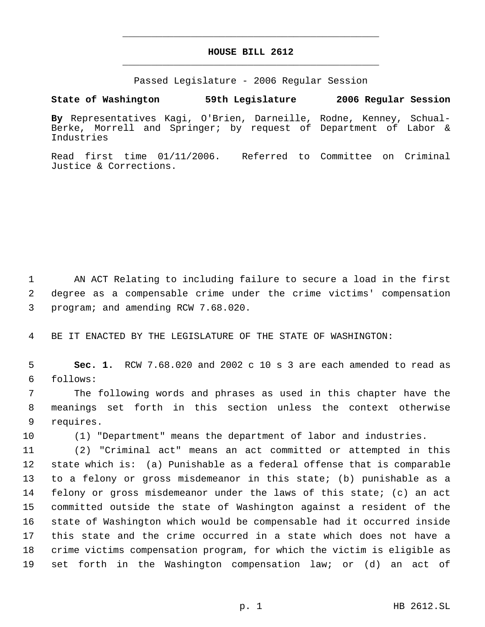## **HOUSE BILL 2612** \_\_\_\_\_\_\_\_\_\_\_\_\_\_\_\_\_\_\_\_\_\_\_\_\_\_\_\_\_\_\_\_\_\_\_\_\_\_\_\_\_\_\_\_\_

\_\_\_\_\_\_\_\_\_\_\_\_\_\_\_\_\_\_\_\_\_\_\_\_\_\_\_\_\_\_\_\_\_\_\_\_\_\_\_\_\_\_\_\_\_

Passed Legislature - 2006 Regular Session

**State of Washington 59th Legislature 2006 Regular Session**

**By** Representatives Kagi, O'Brien, Darneille, Rodne, Kenney, Schual-Berke, Morrell and Springer; by request of Department of Labor & Industries

Read first time 01/11/2006. Referred to Committee on Criminal Justice & Corrections.

 AN ACT Relating to including failure to secure a load in the first degree as a compensable crime under the crime victims' compensation program; and amending RCW 7.68.020.

BE IT ENACTED BY THE LEGISLATURE OF THE STATE OF WASHINGTON:

 **Sec. 1.** RCW 7.68.020 and 2002 c 10 s 3 are each amended to read as follows:

 The following words and phrases as used in this chapter have the meanings set forth in this section unless the context otherwise requires.

(1) "Department" means the department of labor and industries.

 (2) "Criminal act" means an act committed or attempted in this state which is: (a) Punishable as a federal offense that is comparable to a felony or gross misdemeanor in this state; (b) punishable as a felony or gross misdemeanor under the laws of this state; (c) an act committed outside the state of Washington against a resident of the state of Washington which would be compensable had it occurred inside this state and the crime occurred in a state which does not have a crime victims compensation program, for which the victim is eligible as set forth in the Washington compensation law; or (d) an act of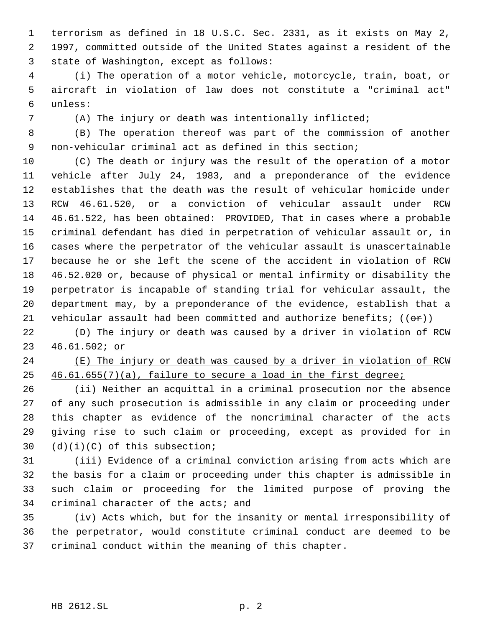terrorism as defined in 18 U.S.C. Sec. 2331, as it exists on May 2, 1997, committed outside of the United States against a resident of the state of Washington, except as follows:

 (i) The operation of a motor vehicle, motorcycle, train, boat, or aircraft in violation of law does not constitute a "criminal act" unless:

(A) The injury or death was intentionally inflicted;

 (B) The operation thereof was part of the commission of another non-vehicular criminal act as defined in this section;

 (C) The death or injury was the result of the operation of a motor vehicle after July 24, 1983, and a preponderance of the evidence establishes that the death was the result of vehicular homicide under RCW 46.61.520, or a conviction of vehicular assault under RCW 46.61.522, has been obtained: PROVIDED, That in cases where a probable criminal defendant has died in perpetration of vehicular assault or, in cases where the perpetrator of the vehicular assault is unascertainable because he or she left the scene of the accident in violation of RCW 46.52.020 or, because of physical or mental infirmity or disability the perpetrator is incapable of standing trial for vehicular assault, the department may, by a preponderance of the evidence, establish that a 21 vehicular assault had been committed and authorize benefits;  $((\theta \cdot \mathbf{r}))$ 

 (D) The injury or death was caused by a driver in violation of RCW 46.61.502; or

24 (E) The injury or death was caused by a driver in violation of RCW 46.61.655(7)(a), failure to secure a load in the first degree;

 (ii) Neither an acquittal in a criminal prosecution nor the absence of any such prosecution is admissible in any claim or proceeding under this chapter as evidence of the noncriminal character of the acts giving rise to such claim or proceeding, except as provided for in (d)(i)(C) of this subsection;

 (iii) Evidence of a criminal conviction arising from acts which are the basis for a claim or proceeding under this chapter is admissible in such claim or proceeding for the limited purpose of proving the criminal character of the acts; and

 (iv) Acts which, but for the insanity or mental irresponsibility of the perpetrator, would constitute criminal conduct are deemed to be criminal conduct within the meaning of this chapter.